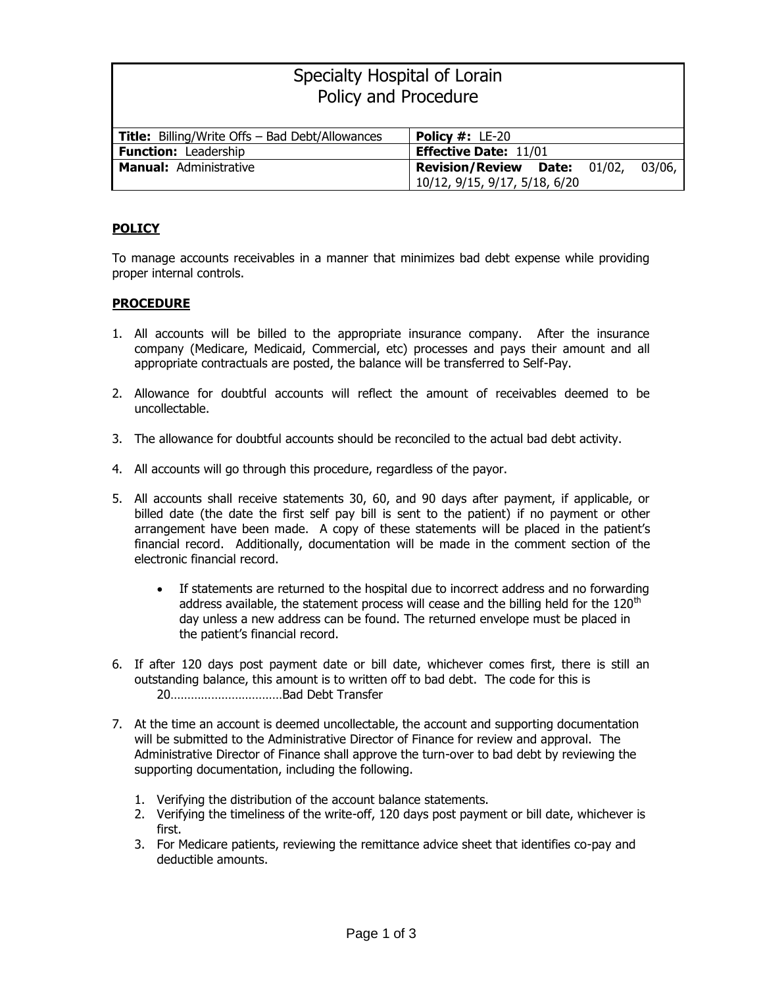| Specialty Hospital of Lorain                           |                                               |  |
|--------------------------------------------------------|-----------------------------------------------|--|
| Policy and Procedure                                   |                                               |  |
|                                                        |                                               |  |
| <b>Title:</b> Billing/Write Offs - Bad Debt/Allowances | <b>Policy #: <math>LE-20</math></b>           |  |
| <b>Function: Leadership</b>                            | <b>Effective Date: 11/01</b>                  |  |
| <b>Manual: Administrative</b>                          | <b>Revision/Review Date: 01/02,</b><br>03/06, |  |
|                                                        | 10/12, 9/15, 9/17, 5/18, 6/20                 |  |

## **POLICY**

To manage accounts receivables in a manner that minimizes bad debt expense while providing proper internal controls.

## **PROCEDURE**

- 1. All accounts will be billed to the appropriate insurance company. After the insurance company (Medicare, Medicaid, Commercial, etc) processes and pays their amount and all appropriate contractuals are posted, the balance will be transferred to Self-Pay.
- 2. Allowance for doubtful accounts will reflect the amount of receivables deemed to be uncollectable.
- 3. The allowance for doubtful accounts should be reconciled to the actual bad debt activity.
- 4. All accounts will go through this procedure, regardless of the payor.
- 5. All accounts shall receive statements 30, 60, and 90 days after payment, if applicable, or billed date (the date the first self pay bill is sent to the patient) if no payment or other arrangement have been made. A copy of these statements will be placed in the patient's financial record. Additionally, documentation will be made in the comment section of the electronic financial record.
	- If statements are returned to the hospital due to incorrect address and no forwarding address available, the statement process will cease and the billing held for the  $120<sup>th</sup>$ day unless a new address can be found. The returned envelope must be placed in the patient's financial record.
- 6. If after 120 days post payment date or bill date, whichever comes first, there is still an outstanding balance, this amount is to written off to bad debt. The code for this is 20……………………………Bad Debt Transfer
- 7. At the time an account is deemed uncollectable, the account and supporting documentation will be submitted to the Administrative Director of Finance for review and approval. The Administrative Director of Finance shall approve the turn-over to bad debt by reviewing the supporting documentation, including the following.
	- 1. Verifying the distribution of the account balance statements.
	- 2. Verifying the timeliness of the write-off, 120 days post payment or bill date, whichever is first.
	- 3. For Medicare patients, reviewing the remittance advice sheet that identifies co-pay and deductible amounts.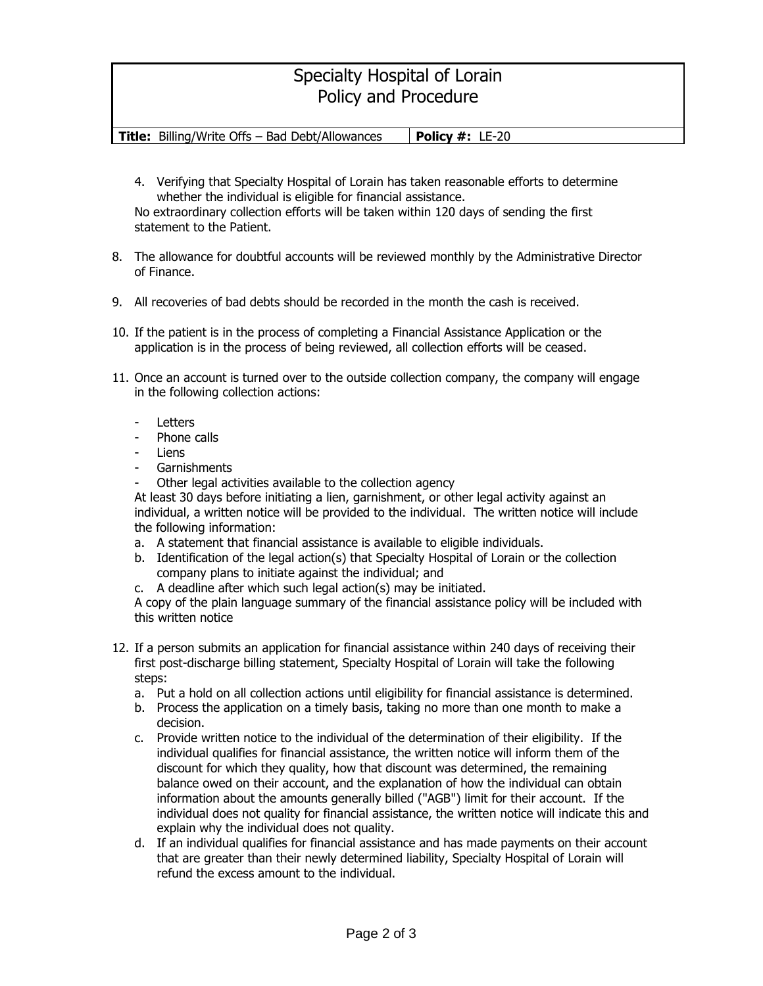## Specialty Hospital of Lorain Policy and Procedure

**Title:** Billing/Write Offs – Bad Debt/Allowances | **Policy #:** LE-20

- 4. Verifying that Specialty Hospital of Lorain has taken reasonable efforts to determine whether the individual is eligible for financial assistance. No extraordinary collection efforts will be taken within 120 days of sending the first statement to the Patient.
- 8. The allowance for doubtful accounts will be reviewed monthly by the Administrative Director of Finance.
- 9. All recoveries of bad debts should be recorded in the month the cash is received.
- 10. If the patient is in the process of completing a Financial Assistance Application or the application is in the process of being reviewed, all collection efforts will be ceased.
- 11. Once an account is turned over to the outside collection company, the company will engage in the following collection actions:
	- **Letters**
	- Phone calls
	- **Liens**
	- **Garnishments**
	- Other legal activities available to the collection agency

At least 30 days before initiating a lien, garnishment, or other legal activity against an individual, a written notice will be provided to the individual. The written notice will include the following information:

- a. A statement that financial assistance is available to eligible individuals.
- b. Identification of the legal action(s) that Specialty Hospital of Lorain or the collection company plans to initiate against the individual; and
- c. A deadline after which such legal action(s) may be initiated.

A copy of the plain language summary of the financial assistance policy will be included with this written notice

- 12. If a person submits an application for financial assistance within 240 days of receiving their first post-discharge billing statement, Specialty Hospital of Lorain will take the following steps:
	- a. Put a hold on all collection actions until eligibility for financial assistance is determined.
	- b. Process the application on a timely basis, taking no more than one month to make a decision.
	- c. Provide written notice to the individual of the determination of their eligibility. If the individual qualifies for financial assistance, the written notice will inform them of the discount for which they quality, how that discount was determined, the remaining balance owed on their account, and the explanation of how the individual can obtain information about the amounts generally billed ("AGB") limit for their account. If the individual does not quality for financial assistance, the written notice will indicate this and explain why the individual does not quality.
	- d. If an individual qualifies for financial assistance and has made payments on their account that are greater than their newly determined liability, Specialty Hospital of Lorain will refund the excess amount to the individual.